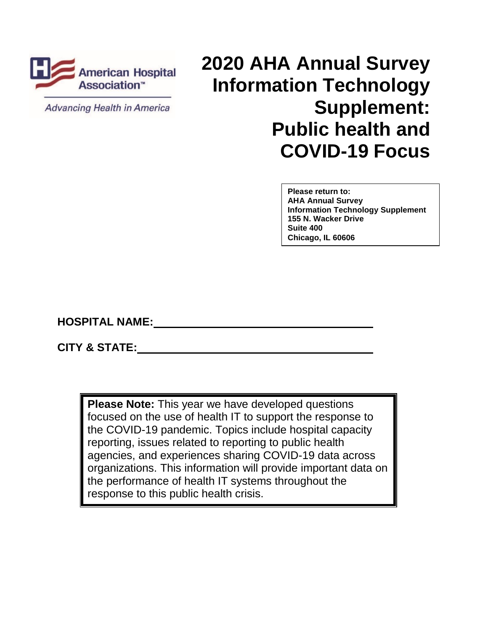

**Advancing Health in America** 

# **2020 AHA Annual Survey American Hospital LULU ATTA ATTITUAL SUIVEY**<br>Association<sup>®</sup> **Information Technology Supplement: Public health and COVID-19 Focus**

**Please return to: AHA Annual Survey Information Technology Supplement 155 N. Wacker Drive Suite 400 Chicago, IL 60606**

**HOSPITAL NAME:**

**CITY & STATE:** 

**Please Note:** This year we have developed questions focused on the use of health IT to support the response to the COVID-19 pandemic. Topics include hospital capacity reporting, issues related to reporting to public health agencies, and experiences sharing COVID-19 data across organizations. This information will provide important data on the performance of health IT systems throughout the response to this public health crisis.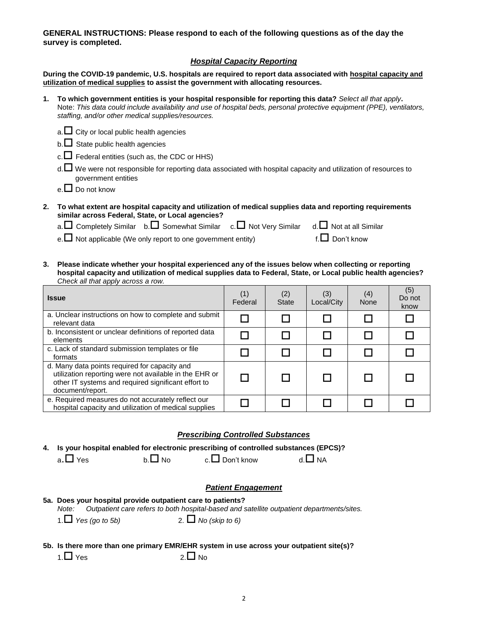**GENERAL INSTRUCTIONS: Please respond to each of the following questions as of the day the survey is completed.**

# *Hospital Capacity Reporting*

**During the COVID-19 pandemic, U.S. hospitals are required to report data associated with hospital capacity and utilization of medical supplies to assist the government with allocating resources.** 

**1. To which government entities is your hospital responsible for reporting this data?** *Select all that apply***.** Note: *This data could include availability and use of hospital beds, personal protective equipment (PPE), ventilators, staffing, and/or other medical supplies/resources.*

| a. $\square$ City or local public health agencies |  |
|---------------------------------------------------|--|
|---------------------------------------------------|--|

- $b.\Box$  State public health agencies
- $c.\Box$  Federal entities (such as, the CDC or HHS)
- d. We were not responsible for reporting data associated with hospital capacity and utilization of resources to government entities
- e.  $\square$  Do not know
- **2. To what extent are hospital capacity and utilization of medical supplies data and reporting requirements similar across Federal, State, or Local agencies?**

|  |  |  |  | a. $\square$ Completely Similar b. $\square$ Somewhat Similar c. $\square$ Not Very Similar d. $\square$ Not at all Similar |  |
|--|--|--|--|-----------------------------------------------------------------------------------------------------------------------------|--|
|--|--|--|--|-----------------------------------------------------------------------------------------------------------------------------|--|

e.  $\Box$  Not applicable (We only report to one government entity) f.  $\Box$  Don't know

**3. Please indicate whether your hospital experienced any of the issues below when collecting or reporting hospital capacity and utilization of medical supplies data to Federal, State, or Local public health agencies?**  *Check all that apply across a row.* 

| <b>Issue</b>                                                                                                                                                                       | (1)<br>Federal | (2)<br><b>State</b> | (3)<br>Local/City | (4)<br><b>None</b> | (5)<br>Do not<br>know |
|------------------------------------------------------------------------------------------------------------------------------------------------------------------------------------|----------------|---------------------|-------------------|--------------------|-----------------------|
| a. Unclear instructions on how to complete and submit<br>relevant data                                                                                                             |                |                     |                   |                    |                       |
| b. Inconsistent or unclear definitions of reported data<br>elements                                                                                                                |                |                     |                   |                    |                       |
| c. Lack of standard submission templates or file<br>formats                                                                                                                        |                |                     |                   |                    |                       |
| d. Many data points required for capacity and<br>utilization reporting were not available in the EHR or<br>other IT systems and required significant effort to<br>document/report. |                |                     |                   |                    |                       |
| e. Required measures do not accurately reflect our<br>hospital capacity and utilization of medical supplies                                                                        |                |                     |                   |                    |                       |

#### *Prescribing Controlled Substances*

**4. Is your hospital enabled for electronic prescribing of controlled substances (EPCS)?**

 $a.\Box$  Yes b.  $\Box$  No c.  $\Box$  Don't know d.  $\Box$  NA

# *Patient Engagement*

# **5a. Does your hospital provide outpatient care to patients?**

*Note: Outpatient care refers to both hospital-based and satellite outpatient departments/sites.*

- 1. *Yes (go to 5b)* 2. *No (skip to 6)*
- **5b. Is there more than one primary EMR/EHR system in use across your outpatient site(s)?**
	- $1.\Box$  Yes  $2.\Box$  No.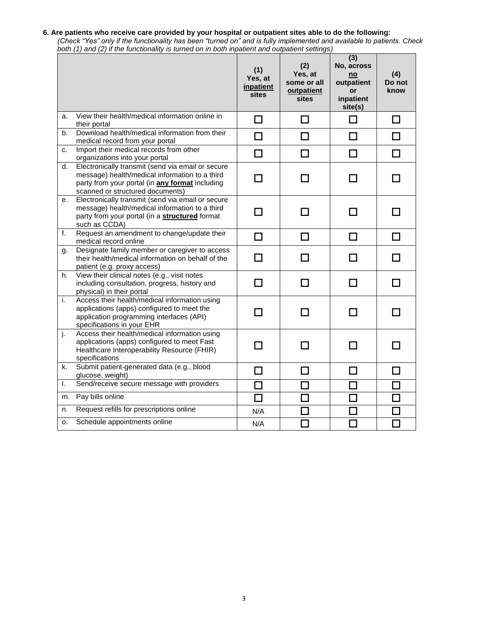#### **6. Are patients who receive care provided by your hospital or outpatient sites able to do the following:**

*(Check "Yes" only if the functionality has been "turned on" and is fully implemented and available to patients. Check both (1) and (2) if the functionality is turned on in both inpatient and outpatient settings)*

|    |                                                                                                                                                                                            | (1)<br>Yes, at<br>inpatient<br><b>sites</b> | (2)<br>Yes, at<br>some or all<br>outpatient<br><b>sites</b> | (3)<br>No, across<br>no<br>outpatient<br>or<br>inpatient<br>site(s) | (4)<br>Do not<br>know |
|----|--------------------------------------------------------------------------------------------------------------------------------------------------------------------------------------------|---------------------------------------------|-------------------------------------------------------------|---------------------------------------------------------------------|-----------------------|
| a. | View their health/medical information online in<br>their portal                                                                                                                            | П                                           | П                                                           | П                                                                   | П                     |
| b. | Download health/medical information from their<br>medical record from your portal                                                                                                          | П                                           | П                                                           | П                                                                   | ΙI                    |
| c. | Import their medical records from other<br>organizations into your portal                                                                                                                  | П                                           | $\Box$                                                      | П                                                                   | П                     |
| d. | Electronically transmit (send via email or secure<br>message) health/medical information to a third<br>party from your portal (in any format including<br>scanned or structured documents) | □                                           | □                                                           | П                                                                   | ΙI                    |
| е. | Electronically transmit (send via email or secure<br>message) health/medical information to a third<br>party from your portal (in a structured format<br>such as CCDA)                     | П                                           | П                                                           | П                                                                   |                       |
| f. | Request an amendment to change/update their<br>medical record online                                                                                                                       | □                                           | □                                                           | □                                                                   | П                     |
| g. | Designate family member or caregiver to access<br>their health/medical information on behalf of the<br>patient (e.g. proxy access)                                                         | П                                           | П                                                           | П                                                                   |                       |
| h. | View their clinical notes (e.g., visit notes<br>including consultation, progress, history and<br>physical) in their portal                                                                 | П                                           | П                                                           | П                                                                   | П                     |
| i. | Access their health/medical information using<br>applications (apps) configured to meet the<br>application programming interfaces (API)<br>specifications in your EHR                      | ΙI                                          | П                                                           | ΙI                                                                  |                       |
| j. | Access their health/medical information using<br>applications (apps) configured to meet Fast<br>Healthcare Interoperability Resource (FHIR)<br>specifications                              |                                             | П                                                           | <b>T</b>                                                            |                       |
| k. | Submit patient-generated data (e.g., blood<br>glucose, weight)                                                                                                                             | П                                           | П                                                           | П                                                                   | П                     |
| I. | Send/receive secure message with providers                                                                                                                                                 | П                                           | $\Box$                                                      | П                                                                   |                       |
| m. | Pay bills online                                                                                                                                                                           | П                                           | $\mathcal{L}_{\mathcal{A}}$                                 | П                                                                   |                       |
| n. | Request refills for prescriptions online                                                                                                                                                   | N/A                                         | n.                                                          |                                                                     |                       |
| о. | Schedule appointments online                                                                                                                                                               | N/A                                         | ÷,                                                          | П                                                                   | П                     |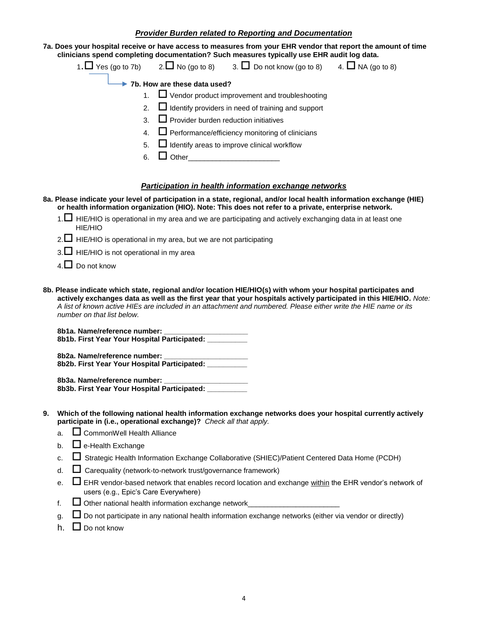# *Provider Burden related to Reporting and Documentation*

**7a. Does your hospital receive or have access to measures from your EHR vendor that report the amount of time clinicians spend completing documentation? Such measures typically use EHR audit log data.**

|                                                           |                                                              | 1. $\Box$ Yes (go to 7b) 2. $\Box$ No (go to 8) 3. $\Box$ Do not know (go to 8) 4. $\Box$ NA (go to 8) |  |  |  |  |
|-----------------------------------------------------------|--------------------------------------------------------------|--------------------------------------------------------------------------------------------------------|--|--|--|--|
|                                                           | 7b. How are these data used?                                 |                                                                                                        |  |  |  |  |
|                                                           |                                                              | 1. $\Box$ Vendor product improvement and troubleshooting                                               |  |  |  |  |
|                                                           | 2. $\Box$ Identify providers in need of training and support |                                                                                                        |  |  |  |  |
|                                                           | 3. $\Box$ Provider burden reduction initiatives              |                                                                                                        |  |  |  |  |
| 4. $\Box$ Performance/efficiency monitoring of clinicians |                                                              |                                                                                                        |  |  |  |  |
| 5. $\Box$ Identify areas to improve clinical workflow     |                                                              |                                                                                                        |  |  |  |  |
| 6.                                                        | $\Box$ Other                                                 |                                                                                                        |  |  |  |  |
|                                                           |                                                              |                                                                                                        |  |  |  |  |
|                                                           |                                                              |                                                                                                        |  |  |  |  |

# *Participation in health information exchange networks*

- **8a. Please indicate your level of participation in a state, regional, and/or local health information exchange (HIE) or health information organization (HIO). Note: This does not refer to a private, enterprise network.** 
	- 1.  $\Box$  HIE/HIO is operational in my area and we are participating and actively exchanging data in at least one HIE/HIO
	- $2.\Box$  HIE/HIO is operational in my area, but we are not participating
	- $3. \Box$  HIE/HIO is not operational in my area
	- $4. \Box$  Do not know
- **8b. Please indicate which state, regional and/or location HIE/HIO(s) with whom your hospital participates and actively exchanges data as well as the first year that your hospitals actively participated in this HIE/HIO.** *Note: A list of known active HIEs are included in an attachment and numbered. Please either write the HIE name or its number on that list below.*

**8b1a. Name/reference number: \_\_\_\_\_\_\_\_\_\_\_\_\_\_\_\_\_\_\_\_\_ 8b1b. First Year Your Hospital Participated: \_\_\_\_\_\_\_\_\_\_**

**8b2a. Name/reference number: \_\_\_\_\_\_\_\_\_\_\_\_\_\_\_\_\_\_\_\_\_ 8b2b. First Year Your Hospital Participated: \_\_\_\_\_\_\_\_\_\_**

**8b3a. Name/reference number: \_\_\_\_\_\_\_\_\_\_\_\_\_\_\_\_\_\_\_\_\_ 8b3b. First Year Your Hospital Participated: \_\_\_\_\_\_\_\_\_\_**

- **9. Which of the following national health information exchange networks does your hospital currently actively participate in (i.e., operational exchange)?** *Check all that apply.*
	- a. CommonWell Health Alliance
	- b.  $\Box$  e-Health Exchange
	- c.  $\square$  Strategic Health Information Exchange Collaborative (SHIEC)/Patient Centered Data Home (PCDH)
	- d.  $\Box$  Carequality (network-to-network trust/governance framework)
	- e.  $\Box$  EHR vendor-based network that enables record location and exchange within the EHR vendor's network of users (e.g., Epic's Care Everywhere)
	- f.  $\Box$  Other national health information exchange network
	- $\Box$  Do not participate in any national health information exchange networks (either via vendor or directly)
	- h.  $\Box$  Do not know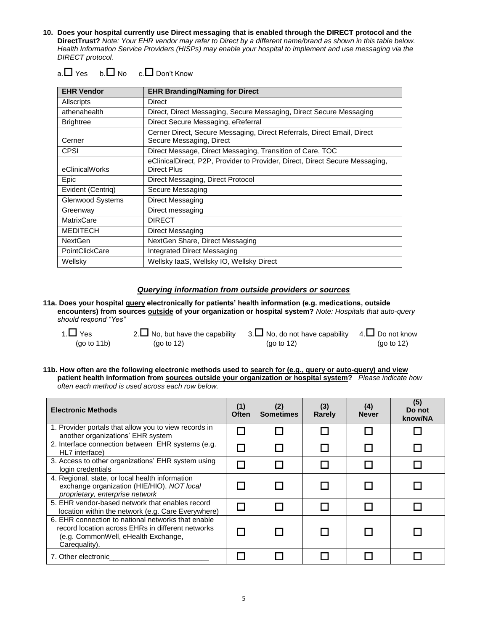**10. Does your hospital currently use Direct messaging that is enabled through the DIRECT protocol and the DirectTrust?** *Note: Your EHR vendor may refer to Direct by a different name/brand as shown in this table below. Health Information Service Providers (HISPs) may enable your hospital to implement and use messaging via the DIRECT protocol.*

|  |  | $a.\Box$ Yes b. $\Box$ No c. $\Box$ Don't Know |
|--|--|------------------------------------------------|
|--|--|------------------------------------------------|

| <b>EHR Vendor</b> | <b>EHR Branding/Naming for Direct</b>                                                               |
|-------------------|-----------------------------------------------------------------------------------------------------|
| Allscripts        | Direct                                                                                              |
| athenahealth      | Direct, Direct Messaging, Secure Messaging, Direct Secure Messaging                                 |
| <b>Brightree</b>  | Direct Secure Messaging, eReferral                                                                  |
| Cerner            | Cerner Direct, Secure Messaging, Direct Referrals, Direct Email, Direct<br>Secure Messaging, Direct |
| <b>CPSI</b>       | Direct Message, Direct Messaging, Transition of Care, TOC                                           |
| eClinicalWorks    | eClinicalDirect, P2P, Provider to Provider, Direct, Direct Secure Messaging,<br>Direct Plus         |
| Epic              | Direct Messaging, Direct Protocol                                                                   |
| Evident (Centriq) | Secure Messaging                                                                                    |
| Glenwood Systems  | Direct Messaging                                                                                    |
| Greenway          | Direct messaging                                                                                    |
| <b>MatrixCare</b> | <b>DIRECT</b>                                                                                       |
| <b>MEDITECH</b>   | Direct Messaging                                                                                    |
| <b>NextGen</b>    | NextGen Share, Direct Messaging                                                                     |
| PointClickCare    | Integrated Direct Messaging                                                                         |
| Wellsky           | Wellsky laaS, Wellsky IO, Wellsky Direct                                                            |

# *Querying information from outside providers or sources*

**11a. Does your hospital query electronically for patients' health information (e.g. medications, outside encounters) from sources outside of your organization or hospital system?** *Note: Hospitals that auto-query should respond "Yes"*

| 1. $\Box$ Yes | 2. $\Box$ No, but have the capability 3. $\Box$ No, do not have capability 4. $\Box$ Do not know |               |            |
|---------------|--------------------------------------------------------------------------------------------------|---------------|------------|
| (go to 11b)   | (go to $12$ )                                                                                    | (go to $12$ ) | (go to 12) |

**11b. How often are the following electronic methods used to search for (e.g., query or auto-query) and view patient health information from sources outside your organization or hospital system?** *Please indicate how often each method is used across each row below.* 

| <b>Electronic Methods</b>                                                                                                                                       | (1)<br><b>Often</b> | (2)<br><b>Sometimes</b> | (3)<br>Rarely | (4)<br><b>Never</b> | (5)<br>Do not<br>know/NA |
|-----------------------------------------------------------------------------------------------------------------------------------------------------------------|---------------------|-------------------------|---------------|---------------------|--------------------------|
| 1. Provider portals that allow you to view records in<br>another organizations' EHR system                                                                      |                     |                         |               |                     |                          |
| 2. Interface connection between EHR systems (e.g.<br>HL7 interface)                                                                                             |                     |                         |               |                     |                          |
| 3. Access to other organizations' EHR system using<br>login credentials                                                                                         |                     |                         |               |                     |                          |
| 4. Regional, state, or local health information<br>exchange organization (HIE/HIO). NOT local<br>proprietary, enterprise network                                |                     |                         |               |                     |                          |
| 5. EHR vendor-based network that enables record<br>location within the network (e.g. Care Everywhere)                                                           |                     |                         |               |                     |                          |
| 6. EHR connection to national networks that enable<br>record location across EHRs in different networks<br>(e.g. CommonWell, eHealth Exchange,<br>Careguality). |                     |                         |               |                     |                          |
| 7. Other electronic                                                                                                                                             |                     |                         |               |                     |                          |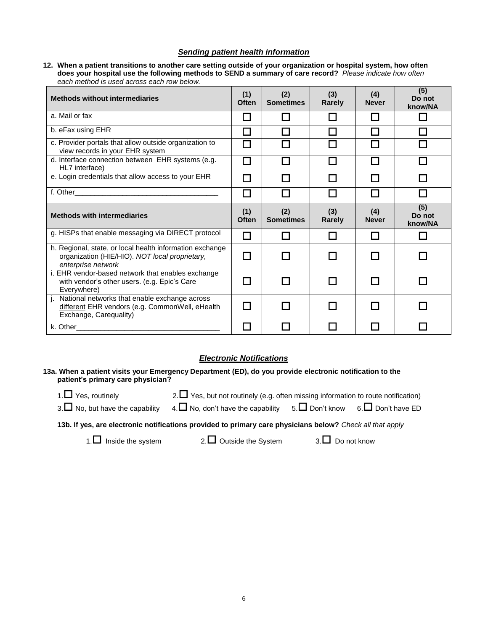# *Sending patient health information*

**12. When a patient transitions to another care setting outside of your organization or hospital system, how often does your hospital use the following methods to SEND a summary of care record?** *Please indicate how often each method is used across each row below.*

| <b>Methods without intermediaries</b>                                                                                            |                          | (2)<br><b>Sometimes</b> | (3)<br><b>Rarely</b>     | (4)<br><b>Never</b> | (5)<br>Do not<br>know/NA |
|----------------------------------------------------------------------------------------------------------------------------------|--------------------------|-------------------------|--------------------------|---------------------|--------------------------|
| a. Mail or fax                                                                                                                   | n and                    | l.                      |                          |                     | H                        |
| b. eFax using EHR                                                                                                                | $\overline{\phantom{a}}$ |                         | $\overline{\phantom{a}}$ |                     |                          |
| c. Provider portals that allow outside organization to<br>view records in your EHR system                                        | H                        |                         |                          |                     |                          |
| d. Interface connection between EHR systems (e.g.<br>HL7 interface)                                                              | П                        | П                       | П                        |                     |                          |
| e. Login credentials that allow access to your EHR                                                                               | H                        | H                       | $\mathsf{L}$             | $\mathbf{I}$        |                          |
|                                                                                                                                  | $\Box$                   | П                       | □                        | П                   |                          |
| <b>Methods with intermediaries</b>                                                                                               | (1)<br>Often             | (2)<br><b>Sometimes</b> | (3)<br><b>Rarely</b>     | (4)<br><b>Never</b> | (5)<br>Do not<br>know/NA |
| g. HISPs that enable messaging via DIRECT protocol                                                                               | H                        | H                       |                          |                     |                          |
| h. Regional, state, or local health information exchange<br>organization (HIE/HIO). NOT local proprietary,<br>enterprise network | n and                    |                         |                          |                     |                          |
| i. EHR vendor-based network that enables exchange<br>with vendor's other users. (e.g. Epic's Care<br>Everywhere)                 | H                        |                         |                          |                     |                          |
| National networks that enable exchange across<br>i.<br>different EHR vendors (e.g. CommonWell, eHealth<br>Exchange, Carequality) | $\mathcal{L}$            |                         | H                        |                     |                          |
| k. Other                                                                                                                         |                          |                         |                          |                     |                          |

# *Electronic Notifications*

#### **13a. When a patient visits your Emergency Department (ED), do you provide electronic notification to the patient's primary care physician?**

1. Yes, routinely 2. Yes, but not routinely (e.g. often missing information to route notification)

3. No, but have the capability 4.  $\Box$  No, don't have the capability 5.  $\Box$  Don't know 6.  $\Box$  Don't have ED

**13b. If yes, are electronic notifications provided to primary care physicians below?** *Check all that apply*

1. Inside the system 2. Outside the System  $3. \Box$  Do not know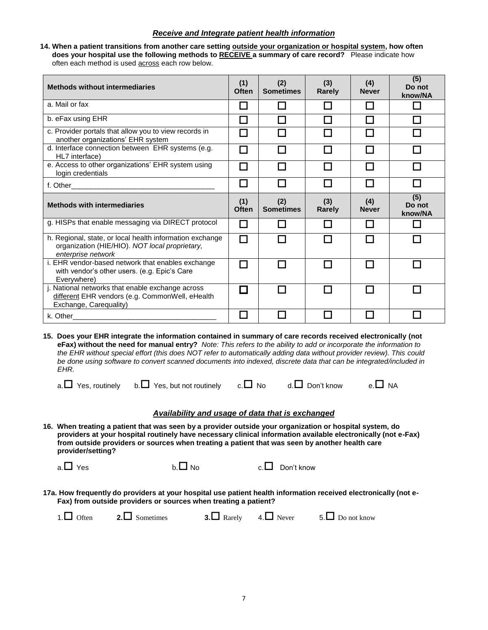# *Receive and Integrate patient health information*

 **14. When a patient transitions from another care setting outside your organization or hospital system, how often does your hospital use the following methods to RECEIVE a summary of care record?** Please indicate how often each method is used across each row below.

| <b>Methods without intermediaries</b>                                                                                            | (1)<br>Often             | (2)<br><b>Sometimes</b> | (3)<br>Rarely | (4)<br><b>Never</b> | (5)<br>Do not<br>know/NA |
|----------------------------------------------------------------------------------------------------------------------------------|--------------------------|-------------------------|---------------|---------------------|--------------------------|
| a. Mail or fax                                                                                                                   | $\mathsf{L}$             |                         |               | $\Box$              | n                        |
| b. eFax using EHR                                                                                                                | ш                        |                         |               | П                   |                          |
| c. Provider portals that allow you to view records in<br>another organizations' EHR system                                       |                          |                         |               |                     |                          |
| d. Interface connection between EHR systems (e.g.<br>HL7 interface)                                                              | П                        |                         |               | П                   |                          |
| e. Access to other organizations' EHR system using<br>login credentials                                                          | $\overline{\phantom{a}}$ |                         |               | $\mathbf{I}$        |                          |
|                                                                                                                                  | $\mathcal{L}$            |                         |               |                     |                          |
| <b>Methods with intermediaries</b>                                                                                               | (1)<br>Often             | (2)<br><b>Sometimes</b> | (3)<br>Rarely | (4)<br><b>Never</b> | (5)<br>Do not<br>know/NA |
| g. HISPs that enable messaging via DIRECT protocol                                                                               | l I                      |                         |               | П                   |                          |
| h. Regional, state, or local health information exchange<br>organization (HIE/HIO). NOT local proprietary,<br>enterprise network | П                        |                         |               | П                   |                          |
| i. EHR vendor-based network that enables exchange<br>with vendor's other users. (e.g. Epic's Care<br>Everywhere)                 |                          |                         |               |                     |                          |
| j. National networks that enable exchange across<br>different EHR vendors (e.g. CommonWell, eHealth<br>Exchange, Carequality)    | П                        |                         |               |                     |                          |
| k. Other                                                                                                                         | ш                        |                         |               |                     |                          |

**15. Does your EHR integrate the information contained in summary of care records received electronically (not eFax) without the need for manual entry?** *Note: This refers to the ability to add or incorporate the information to the EHR without special effort (this does NOT refer to automatically adding data without provider review). This could be done using software to convert scanned documents into indexed, discrete data that can be integrated/included in EHR.*

|  | a. $\Box$ Yes. routinely |  | b. I Yes, but not routinely | $c. \Box$ No | d. <b>□</b> Don't know | e. $\Box$ NA |
|--|--------------------------|--|-----------------------------|--------------|------------------------|--------------|
|--|--------------------------|--|-----------------------------|--------------|------------------------|--------------|

**16. When treating a patient that was seen by a provider outside your organization or hospital system, do providers at your hospital routinely have necessary clinical information available electronically (not e-Fax) from outside providers or sources when treating a patient that was seen by another health care provider/setting?**

**17a. How frequently do providers at your hospital use patient health information received electronically (not e-Fax) from outside providers or sources when treating a patient?**

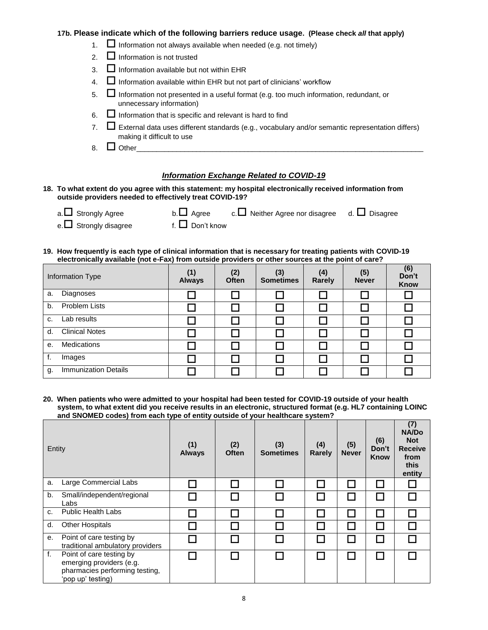# **17b. Please indicate which of the following barriers reduce usage. (Please check** *all* **that apply)**

- 1.  $\Box$  Information not always available when needed (e.g. not timely)
- 2.  $\Box$  Information is not trusted
- $3.$   $\Box$  Information available but not within EHR
- 4.  $\Box$  Information available within EHR but not part of clinicians' workflow
- 5.  $\Box$  Information not presented in a useful format (e.g. too much information, redundant, or unnecessary information)
- 6.  $\Box$  Information that is specific and relevant is hard to find
- 7.  $\Box$  External data uses different standards (e.g., vocabulary and/or semantic representation differs) making it difficult to use
- 8. Other\_\_\_\_\_\_\_\_\_\_\_\_\_\_\_\_\_\_\_\_\_\_\_\_\_\_\_\_\_\_\_\_\_\_\_\_\_\_\_\_\_\_\_\_\_\_\_\_\_\_\_\_\_\_\_\_\_\_\_\_\_\_\_\_\_\_\_\_\_\_\_\_

# *Information Exchange Related to COVID-19*

#### **18. To what extent do you agree with this statement: my hospital electronically received information from outside providers needed to effectively treat COVID-19?**

| a. $\Box$ Strongly Agree | b. $\Box$ Agree c. $\Box$ Neither Agree nor disagree d. $\Box$ Disagree |  |
|--------------------------|-------------------------------------------------------------------------|--|
|                          |                                                                         |  |

e. Strongly disagree f.  $\Box$  Don't know

### **19. How frequently is each type of clinical information that is necessary for treating patients with COVID-19 electronically available (not e-Fax) from outside providers or other sources at the point of care?**

| Information Type                  | (1)<br><b>Always</b> | (2)<br><b>Often</b> | (3)<br><b>Sometimes</b> | (4)<br>Rarely | (5)<br><b>Never</b> | (6)<br>Don't<br><b>Know</b> |
|-----------------------------------|----------------------|---------------------|-------------------------|---------------|---------------------|-----------------------------|
| Diagnoses<br>a.                   |                      |                     |                         |               |                     |                             |
| <b>Problem Lists</b><br>b.        |                      |                     |                         |               |                     |                             |
| Lab results<br>C.                 |                      |                     |                         |               |                     |                             |
| <b>Clinical Notes</b><br>d.       |                      |                     |                         |               |                     |                             |
| Medications<br>е.                 |                      |                     |                         |               |                     |                             |
| f.<br>Images                      |                      |                     |                         |               |                     |                             |
| <b>Immunization Details</b><br>g. |                      |                     |                         |               |                     |                             |

#### **20. When patients who were admitted to your hospital had been tested for COVID-19 outside of your health system, to what extent did you receive results in an electronic, structured format (e.g. HL7 containing LOINC and SNOMED codes) from each type of entity outside of your healthcare system?**

| Entity |                                                                                                             | (1)<br><b>Always</b> | (2)<br><b>Often</b> | (3)<br><b>Sometimes</b> | (4)<br><b>Rarely</b> | (5)<br><b>Never</b> | (6)<br>Don't<br><b>Know</b> | (7)<br><b>NA/Do</b><br><b>Not</b><br><b>Receive</b><br>from<br>this<br>entity |
|--------|-------------------------------------------------------------------------------------------------------------|----------------------|---------------------|-------------------------|----------------------|---------------------|-----------------------------|-------------------------------------------------------------------------------|
| a.     | Large Commercial Labs                                                                                       |                      |                     |                         |                      |                     |                             |                                                                               |
| b.     | Small/independent/regional<br>Labs                                                                          |                      |                     |                         |                      |                     |                             |                                                                               |
| C.     | <b>Public Health Labs</b>                                                                                   |                      |                     |                         |                      |                     |                             |                                                                               |
| d.     | <b>Other Hospitals</b>                                                                                      |                      |                     |                         |                      |                     |                             |                                                                               |
| е.     | Point of care testing by<br>traditional ambulatory providers                                                |                      |                     |                         |                      |                     |                             |                                                                               |
| f.     | Point of care testing by<br>emerging providers (e.g.<br>pharmacies performing testing,<br>'pop up' testing) |                      |                     |                         |                      |                     |                             |                                                                               |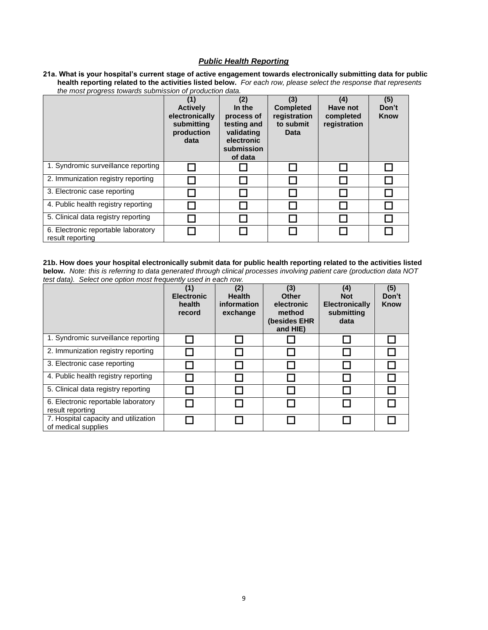# *Public Health Reporting*

**21a. What is your hospital's current stage of active engagement towards electronically submitting data for public health reporting related to the activities listed below.** *For each row, please select the response that represents the most progress towards submission of production data.*

|                                                         | (1)<br><b>Actively</b><br>electronically<br>submitting<br>production<br>data | (2)<br>In the<br>process of<br>testing and<br>validating<br>electronic<br>submission<br>of data | (3)<br><b>Completed</b><br>registration<br>to submit<br>Data | (4)<br>Have not<br>completed<br>registration | (5)<br>Don't<br><b>Know</b> |
|---------------------------------------------------------|------------------------------------------------------------------------------|-------------------------------------------------------------------------------------------------|--------------------------------------------------------------|----------------------------------------------|-----------------------------|
| 1. Syndromic surveillance reporting                     |                                                                              |                                                                                                 |                                                              |                                              |                             |
| 2. Immunization registry reporting                      |                                                                              |                                                                                                 |                                                              |                                              |                             |
| 3. Electronic case reporting                            |                                                                              |                                                                                                 |                                                              |                                              |                             |
| 4. Public health registry reporting                     |                                                                              |                                                                                                 |                                                              |                                              |                             |
| 5. Clinical data registry reporting                     |                                                                              |                                                                                                 |                                                              |                                              |                             |
| 6. Electronic reportable laboratory<br>result reporting |                                                                              |                                                                                                 |                                                              |                                              |                             |

**21b. How does your hospital electronically submit data for public health reporting related to the activities listed below.** *Note: this is referring to data generated through clinical processes involving patient care (production data NOT test data). Select one option most frequently used in each row.*

| ical dala). Ocioci ono opilon mode nogachiy asod in caon row. | (1)<br><b>Electronic</b><br>health<br>record | (2)<br><b>Health</b><br>information<br>exchange | (3)<br><b>Other</b><br>electronic<br>method<br>(besides EHR<br>and HIE) | (4)<br><b>Not</b><br><b>Electronically</b><br>submitting<br>data | (5)<br>Don't<br><b>Know</b> |
|---------------------------------------------------------------|----------------------------------------------|-------------------------------------------------|-------------------------------------------------------------------------|------------------------------------------------------------------|-----------------------------|
| 1. Syndromic surveillance reporting                           |                                              |                                                 |                                                                         |                                                                  |                             |
| 2. Immunization registry reporting                            |                                              |                                                 |                                                                         |                                                                  |                             |
| 3. Electronic case reporting                                  |                                              |                                                 |                                                                         |                                                                  |                             |
| 4. Public health registry reporting                           |                                              |                                                 |                                                                         |                                                                  |                             |
| 5. Clinical data registry reporting                           |                                              |                                                 |                                                                         |                                                                  |                             |
| 6. Electronic reportable laboratory<br>result reporting       |                                              |                                                 |                                                                         |                                                                  |                             |
| 7. Hospital capacity and utilization<br>of medical supplies   |                                              |                                                 |                                                                         |                                                                  |                             |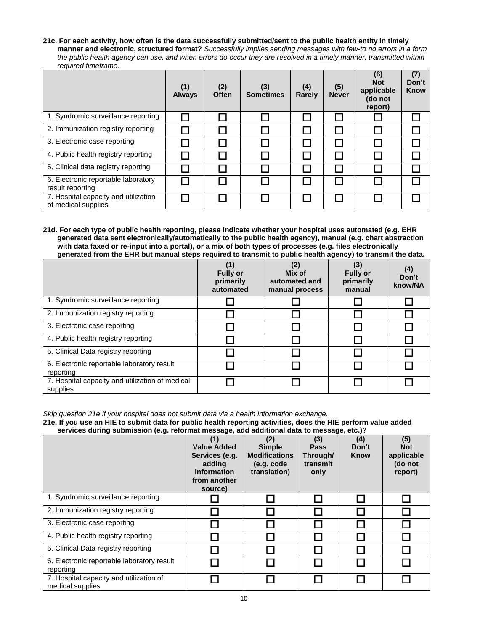**21c. For each activity, how often is the data successfully submitted/sent to the public health entity in timely manner and electronic, structured format?** *Successfully implies sending messages with few-to no errors in a form the public health agency can use, and when errors do occur they are resolved in a timely manner, transmitted within required timeframe.*

|                                                             | (1)<br><b>Always</b> | (2)<br>Often | (3)<br><b>Sometimes</b> | (4)<br><b>Rarely</b> | (5)<br><b>Never</b> | (6)<br><b>Not</b><br>applicable<br>(do not<br>report) | (7)<br>Don't<br><b>Know</b> |
|-------------------------------------------------------------|----------------------|--------------|-------------------------|----------------------|---------------------|-------------------------------------------------------|-----------------------------|
| 1. Syndromic surveillance reporting                         |                      |              |                         |                      |                     |                                                       |                             |
| 2. Immunization registry reporting                          |                      |              |                         |                      |                     |                                                       |                             |
| 3. Electronic case reporting                                |                      |              |                         |                      |                     |                                                       |                             |
| 4. Public health registry reporting                         |                      |              |                         |                      |                     |                                                       |                             |
| 5. Clinical data registry reporting                         |                      |              |                         |                      |                     |                                                       |                             |
| 6. Electronic reportable laboratory<br>result reporting     |                      |              |                         |                      |                     |                                                       |                             |
| 7. Hospital capacity and utilization<br>of medical supplies |                      |              |                         |                      |                     |                                                       |                             |

**21d. For each type of public health reporting, please indicate whether your hospital uses automated (e.g. EHR generated data sent electronically/automatically to the public health agency), manual (e.g. chart abstraction with data faxed or re-input into a portal), or a mix of both types of processes (e.g. files electronically generated from the EHR but manual steps required to transmit to public health agency) to transmit the data.**

|                                                             | (1)<br><b>Fully or</b><br>primarily<br>automated | (2)<br>Mix of<br>automated and<br>manual process | -<br>(3)<br><b>Fully or</b><br>primarily<br>manual | (4)<br>Don't<br>know/NA |
|-------------------------------------------------------------|--------------------------------------------------|--------------------------------------------------|----------------------------------------------------|-------------------------|
| 1. Syndromic surveillance reporting                         |                                                  |                                                  |                                                    |                         |
| 2. Immunization registry reporting                          |                                                  |                                                  |                                                    |                         |
| 3. Electronic case reporting                                |                                                  |                                                  |                                                    |                         |
| 4. Public health registry reporting                         |                                                  |                                                  |                                                    |                         |
| 5. Clinical Data registry reporting                         |                                                  |                                                  |                                                    |                         |
| 6. Electronic reportable laboratory result<br>reporting     |                                                  |                                                  |                                                    |                         |
| 7. Hospital capacity and utilization of medical<br>supplies |                                                  |                                                  |                                                    |                         |

*Skip question 21e if your hospital does not submit data via a health information exchange.*

**21e. If you use an HIE to submit data for public health reporting activities, does the HIE perform value added services during submission (e.g. reformat message, add additional data to message, etc.)?**

|                                                             | (1)<br><b>Value Added</b><br>Services (e.g.<br>adding<br>information<br>from another<br>source) | (2)<br><b>Simple</b><br><b>Modifications</b><br>(e.g. code<br>translation) | (3)<br><b>Pass</b><br>Through/<br>transmit<br>only | (4)<br>Don't<br>Know | (5)<br><b>Not</b><br>applicable<br>(do not<br>report) |
|-------------------------------------------------------------|-------------------------------------------------------------------------------------------------|----------------------------------------------------------------------------|----------------------------------------------------|----------------------|-------------------------------------------------------|
| 1. Syndromic surveillance reporting                         |                                                                                                 |                                                                            |                                                    |                      |                                                       |
| 2. Immunization registry reporting                          |                                                                                                 |                                                                            |                                                    |                      |                                                       |
| 3. Electronic case reporting                                |                                                                                                 |                                                                            |                                                    |                      |                                                       |
| 4. Public health registry reporting                         |                                                                                                 |                                                                            |                                                    |                      |                                                       |
| 5. Clinical Data registry reporting                         |                                                                                                 |                                                                            |                                                    |                      |                                                       |
| 6. Electronic reportable laboratory result<br>reporting     |                                                                                                 |                                                                            |                                                    |                      |                                                       |
| 7. Hospital capacity and utilization of<br>medical supplies |                                                                                                 |                                                                            |                                                    |                      |                                                       |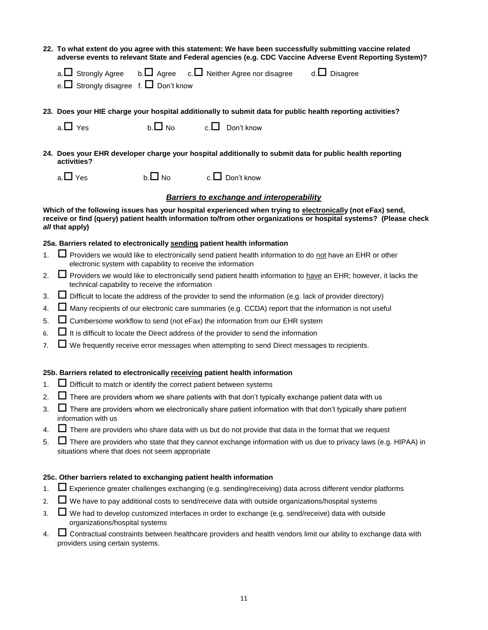**22. To what extent do you agree with this statement: We have been successfully submitting vaccine related adverse events to relevant State and Federal agencies (e.g. CDC Vaccine Adverse Event Reporting System)?**

|                                                  | a. $\Box$ Strongly Agree b. $\Box$ Agree c. $\Box$ Neither Agree nor disagree | d. $\Box$ Disagree |
|--------------------------------------------------|-------------------------------------------------------------------------------|--------------------|
| e. $\Box$ Strongly disagree f. $\Box$ Don't know |                                                                               |                    |

**23. Does your HIE charge your hospital additionally to submit data for public health reporting activities?**

**24. Does your EHR developer charge your hospital additionally to submit data for public health reporting activities?**

 $a.\Box$  Yes b.  $\Box$  No c.  $\Box$  Don't know

# *Barriers to exchange and interoperability*

Which of the following issues has your hospital experienced when trying to electronically (not eFax) send, **receive or find (query) patient health information to/from other organizations or hospital systems? (Please check**  *all* **that apply)**

### **25a. Barriers related to electronically sending patient health information**

- 1.  $\Box$  Providers we would like to electronically send patient health information to do not have an EHR or other electronic system with capability to receive the information
- 2.  $\square$  Providers we would like to electronically send patient health information to have an EHR; however, it lacks the technical capability to receive the information
- 3. Difficult to locate the address of the provider to send the information (e.g. lack of provider directory)
- 4. Many recipients of our electronic care summaries (e.g. CCDA) report that the information is not useful
- 5.  $\Box$  Cumbersome workflow to send (not eFax) the information from our EHR system
- 6.  $\Box$  It is difficult to locate the Direct address of the provider to send the information
- $7.$   $\Box$  We frequently receive error messages when attempting to send Direct messages to recipients.

# **25b. Barriers related to electronically receiving patient health information**

- 1.  $\Box$  Difficult to match or identify the correct patient between systems
- 2.  $\Box$  There are providers whom we share patients with that don't typically exchange patient data with us
- $3.$   $\Box$  There are providers whom we electronically share patient information with that don't typically share patient information with us
- 4.  $\Box$  There are providers who share data with us but do not provide that data in the format that we request
- 5.  $\Box$  There are providers who state that they cannot exchange information with us due to privacy laws (e.g. HIPAA) in situations where that does not seem appropriate

# **25c. Other barriers related to exchanging patient health information**

- 1. Experience greater challenges exchanging (e.g. sending/receiving) data across different vendor platforms
- 2.  $\Box$  We have to pay additional costs to send/receive data with outside organizations/hospital systems
- $3.$   $\Box$  We had to develop customized interfaces in order to exchange (e.g. send/receive) data with outside organizations/hospital systems
- 4.  $\Box$  Contractual constraints between healthcare providers and health vendors limit our ability to exchange data with providers using certain systems.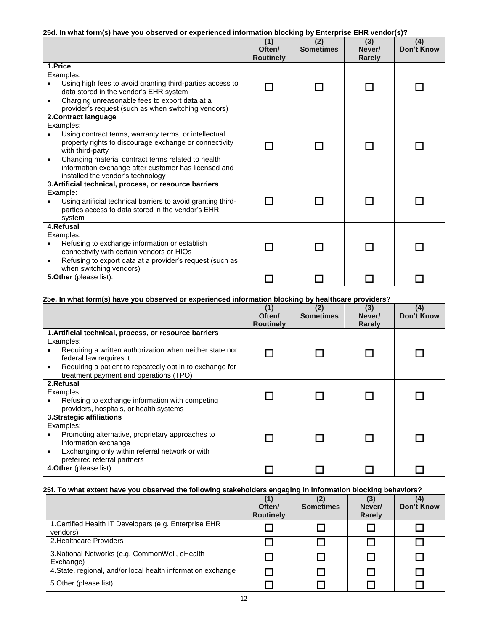# **25d. In what form(s) have you observed or experienced information blocking by Enterprise EHR vendor(s)?**

|                                                        |                                                                                                     | (1)<br>Often/<br><b>Routinely</b> | (2)<br><b>Sometimes</b> | (3)<br>Never/<br><b>Rarely</b> | (4)<br><b>Don't Know</b> |
|--------------------------------------------------------|-----------------------------------------------------------------------------------------------------|-----------------------------------|-------------------------|--------------------------------|--------------------------|
|                                                        | 1.Price                                                                                             |                                   |                         |                                |                          |
|                                                        | Examples:                                                                                           |                                   |                         |                                |                          |
|                                                        | Using high fees to avoid granting third-parties access to<br>data stored in the vendor's EHR system |                                   |                         |                                |                          |
| $\bullet$                                              | Charging unreasonable fees to export data at a                                                      |                                   |                         |                                |                          |
|                                                        | provider's request (such as when switching vendors)                                                 |                                   |                         |                                |                          |
|                                                        | 2. Contract language                                                                                |                                   |                         |                                |                          |
|                                                        | Examples:                                                                                           |                                   |                         |                                |                          |
|                                                        | Using contract terms, warranty terms, or intellectual                                               |                                   |                         |                                |                          |
|                                                        | property rights to discourage exchange or connectivity                                              |                                   |                         |                                |                          |
|                                                        | with third-party                                                                                    |                                   |                         |                                |                          |
|                                                        | Changing material contract terms related to health                                                  |                                   |                         |                                |                          |
|                                                        | information exchange after customer has licensed and                                                |                                   |                         |                                |                          |
|                                                        | installed the vendor's technology                                                                   |                                   |                         |                                |                          |
| 3. Artificial technical, process, or resource barriers |                                                                                                     |                                   |                         |                                |                          |
|                                                        | Example:                                                                                            |                                   |                         |                                |                          |
|                                                        | Using artificial technical barriers to avoid granting third-                                        |                                   |                         |                                |                          |
|                                                        | parties access to data stored in the vendor's EHR                                                   |                                   |                         |                                |                          |
|                                                        | system                                                                                              |                                   |                         |                                |                          |
| 4.Refusal                                              |                                                                                                     |                                   |                         |                                |                          |
|                                                        | Examples:                                                                                           |                                   |                         |                                |                          |
| $\bullet$                                              | Refusing to exchange information or establish                                                       |                                   |                         |                                |                          |
|                                                        | connectivity with certain vendors or HIOs                                                           |                                   |                         |                                |                          |
|                                                        | Refusing to export data at a provider's request (such as                                            |                                   |                         |                                |                          |
|                                                        | when switching vendors)                                                                             |                                   |                         |                                |                          |
| 5. Other (please list):                                |                                                                                                     |                                   |                         |                                |                          |

#### **25e. In what form(s) have you observed or experienced information blocking by healthcare providers?**

|                                                                                                    | (1)<br>Often/<br><b>Routinely</b> | (2)<br><b>Sometimes</b> | (3)<br>Never/<br>Rarely | (4)<br>Don't Know |
|----------------------------------------------------------------------------------------------------|-----------------------------------|-------------------------|-------------------------|-------------------|
| 1. Artificial technical, process, or resource barriers<br>Examples:                                |                                   |                         |                         |                   |
| Requiring a written authorization when neither state nor<br>federal law requires it                |                                   |                         |                         |                   |
| Requiring a patient to repeatedly opt in to exchange for<br>treatment payment and operations (TPO) |                                   |                         |                         |                   |
| 2.Refusal                                                                                          |                                   |                         |                         |                   |
| Examples:                                                                                          |                                   |                         |                         |                   |
| Refusing to exchange information with competing<br>providers, hospitals, or health systems         |                                   |                         |                         |                   |
| 3. Strategic affiliations                                                                          |                                   |                         |                         |                   |
| Examples:                                                                                          |                                   |                         |                         |                   |
| Promoting alternative, proprietary approaches to<br>information exchange                           |                                   |                         |                         |                   |
| Exchanging only within referral network or with<br>preferred referral partners                     |                                   |                         |                         |                   |
| 4. Other (please list):                                                                            |                                   |                         |                         |                   |

# **25f. To what extent have you observed the following stakeholders engaging in information blocking behaviors?**

|                                                                    | Often/<br><b>Routinely</b> | <b>Sometimes</b> | (3)<br>Never/<br>Rarely | (4)<br>Don't Know |
|--------------------------------------------------------------------|----------------------------|------------------|-------------------------|-------------------|
| 1. Certified Health IT Developers (e.g. Enterprise EHR<br>vendors) |                            |                  |                         |                   |
| 2. Healthcare Providers                                            |                            |                  |                         |                   |
| 3. National Networks (e.g. CommonWell, eHealth<br>Exchange)        |                            |                  |                         |                   |
| 4. State, regional, and/or local health information exchange       |                            |                  |                         |                   |
| 5. Other (please list):                                            |                            |                  |                         |                   |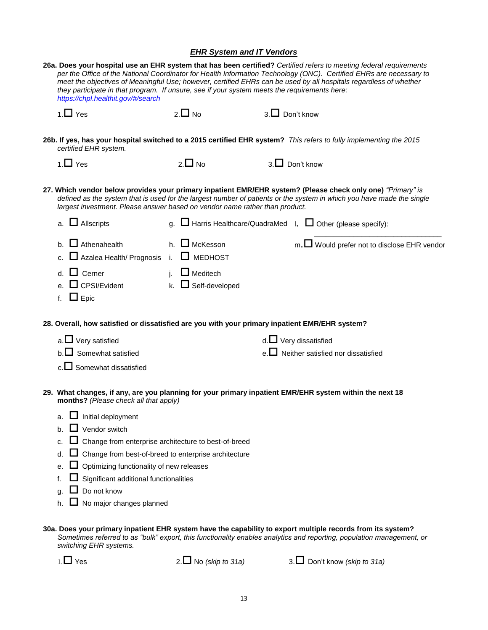# *EHR System and IT Vendors*

| 26a. Does your hospital use an EHR system that has been certified? Certified refers to meeting federal requirements<br>per the Office of the National Coordinator for Health Information Technology (ONC). Certified EHRs are necessary to<br>meet the objectives of Meaningful Use; however, certified EHRs can be used by all hospitals regardless of whether<br>they participate in that program. If unsure, see if your system meets the requirements here:<br>https://chpl.healthit.gov/#/search |                                                |                                                                                                                                                                                                                                      |  |  |  |
|-------------------------------------------------------------------------------------------------------------------------------------------------------------------------------------------------------------------------------------------------------------------------------------------------------------------------------------------------------------------------------------------------------------------------------------------------------------------------------------------------------|------------------------------------------------|--------------------------------------------------------------------------------------------------------------------------------------------------------------------------------------------------------------------------------------|--|--|--|
| 1. $\Box$ Yes                                                                                                                                                                                                                                                                                                                                                                                                                                                                                         | $2.\Box$ No                                    | $3.$ Don't know                                                                                                                                                                                                                      |  |  |  |
| certified EHR system.                                                                                                                                                                                                                                                                                                                                                                                                                                                                                 |                                                | 26b. If yes, has your hospital switched to a 2015 certified EHR system? This refers to fully implementing the 2015                                                                                                                   |  |  |  |
| 1. $\Box$ Yes                                                                                                                                                                                                                                                                                                                                                                                                                                                                                         | $2.\Box$ No                                    | $3. \Box$ Don't know                                                                                                                                                                                                                 |  |  |  |
| 27. Which vendor below provides your primary inpatient EMR/EHR system? (Please check only one) "Primary" is<br>defined as the system that is used for the largest number of patients or the system in which you have made the single<br>largest investment. Please answer based on vendor name rather than product.                                                                                                                                                                                   |                                                |                                                                                                                                                                                                                                      |  |  |  |
| a. $\Box$ Allscripts                                                                                                                                                                                                                                                                                                                                                                                                                                                                                  |                                                | g. $\Box$ Harris Healthcare/QuadraMed 1. $\Box$ Other (please specify):                                                                                                                                                              |  |  |  |
| b. $\Box$ Athenahealth<br>c. $\Box$ Azalea Health/ Prognosis i. $\Box$ MEDHOST                                                                                                                                                                                                                                                                                                                                                                                                                        | h. $\Box$ McKesson                             | m. <u>D</u> Would prefer not to disclose EHR vendor                                                                                                                                                                                  |  |  |  |
| $\Box$ Cerner<br>$\Box$ CPSI/Evident<br>f. $\Box$ Epic                                                                                                                                                                                                                                                                                                                                                                                                                                                | j. $\Box$ Meditech<br>k. $\Box$ Self-developed |                                                                                                                                                                                                                                      |  |  |  |
| 28. Overall, how satisfied or dissatisfied are you with your primary inpatient EMR/EHR system?                                                                                                                                                                                                                                                                                                                                                                                                        |                                                |                                                                                                                                                                                                                                      |  |  |  |
| a. $\Box$ Very satisfied                                                                                                                                                                                                                                                                                                                                                                                                                                                                              |                                                | $d.\Box$ Very dissatisfied                                                                                                                                                                                                           |  |  |  |
| $b.\Box$ Somewhat satisfied                                                                                                                                                                                                                                                                                                                                                                                                                                                                           |                                                | e. $\Box$ Neither satisfied nor dissatisfied                                                                                                                                                                                         |  |  |  |
| $c.\Box$ Somewhat dissatisfied                                                                                                                                                                                                                                                                                                                                                                                                                                                                        |                                                |                                                                                                                                                                                                                                      |  |  |  |
| months? (Please check all that apply)                                                                                                                                                                                                                                                                                                                                                                                                                                                                 |                                                | 29. What changes, if any, are you planning for your primary inpatient EMR/EHR system within the next 18                                                                                                                              |  |  |  |
| -<br>$\Box$ Initial deployment<br>а.                                                                                                                                                                                                                                                                                                                                                                                                                                                                  |                                                |                                                                                                                                                                                                                                      |  |  |  |
| $\Box$ Vendor switch<br>b.                                                                                                                                                                                                                                                                                                                                                                                                                                                                            |                                                |                                                                                                                                                                                                                                      |  |  |  |
| □ Change from enterprise architecture to best-of-breed<br>c.                                                                                                                                                                                                                                                                                                                                                                                                                                          |                                                |                                                                                                                                                                                                                                      |  |  |  |
| Change from best-of-breed to enterprise architecture<br>d.                                                                                                                                                                                                                                                                                                                                                                                                                                            |                                                |                                                                                                                                                                                                                                      |  |  |  |
| Optimizing functionality of new releases<br>е.                                                                                                                                                                                                                                                                                                                                                                                                                                                        |                                                |                                                                                                                                                                                                                                      |  |  |  |
| Significant additional functionalities<br>f.<br>Do not know                                                                                                                                                                                                                                                                                                                                                                                                                                           |                                                |                                                                                                                                                                                                                                      |  |  |  |
| q.<br>$\Box$ No major changes planned<br>h.                                                                                                                                                                                                                                                                                                                                                                                                                                                           |                                                |                                                                                                                                                                                                                                      |  |  |  |
| switching EHR systems.                                                                                                                                                                                                                                                                                                                                                                                                                                                                                |                                                | 30a. Does your primary inpatient EHR system have the capability to export multiple records from its system?<br>Sometimes referred to as "bulk" export, this functionality enables analytics and reporting, population management, or |  |  |  |
| $1. \Box$ Yes                                                                                                                                                                                                                                                                                                                                                                                                                                                                                         | 2. $\Box$ No (skip to 31a)                     | 3. Don't know (skip to 31a)                                                                                                                                                                                                          |  |  |  |